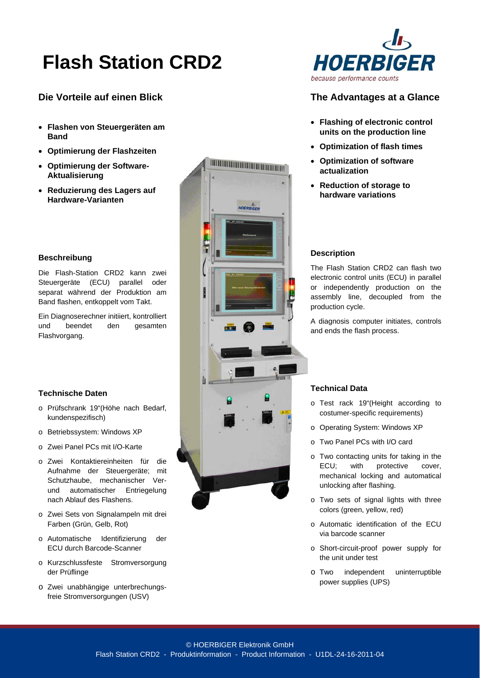# **Flash Station CRD2**

# **Die Vorteile auf einen Blick**

- **Flashen von Steuergeräten am Band**
- **Optimierung der Flashzeiten**
- **Optimierung der Software-Aktualisierung**
- **Reduzierung des Lagers auf Hardware-Varianten**

### **Beschreibung**

Die Flash-Station CRD2 kann zwei Steuergeräte (ECU) parallel oder separat während der Produktion am Band flashen, entkoppelt vom Takt.

Ein Diagnoserechner initiiert, kontrolliert und beendet den gesamten Flashvorgang.

### **Technische Daten**

- o Prüfschrank 19"(Höhe nach Bedarf, kundenspezifisch)
- o Betriebssystem: Windows XP
- o Zwei Panel PCs mit I/O-Karte
- o Zwei Kontaktiereinheiten für die Aufnahme der Steuergeräte; mit Schutzhaube, mechanischer Verund automatischer Entriegelung nach Ablauf des Flashens.
- o Zwei Sets von Signalampeln mit drei Farben (Grün, Gelb, Rot)
- o Automatische Identifizierung der ECU durch Barcode-Scanner
- o Kurzschlussfeste Stromversorgung der Prüflinge
- o Zwei unabhängige unterbrechungsfreie Stromversorgungen (USV)





# **The Advantages at a Glance**

- **Flashing of electronic control units on the production line**
- **Optimization of flash times**
- **Optimization of software actualization**
- **Reduction of storage to hardware variations**

#### **Description**

The Flash Station CRD2 can flash two electronic control units (ECU) in parallel or independently production on the assembly line, decoupled from the production cycle.

A diagnosis computer initiates, controls and ends the flash process.

### **Technical Data**

- o Test rack 19"(Height according to costumer-specific requirements)
- o Operating System: Windows XP
- o Two Panel PCs with I/O card
- o Two contacting units for taking in the ECU; with protective cover, mechanical locking and automatical unlocking after flashing.
- o Two sets of signal lights with three colors (green, yellow, red)
- o Automatic identification of the ECU via barcode scanner
- o Short-circuit-proof power supply for the unit under test
- o Two independent uninterruptible power supplies (UPS)